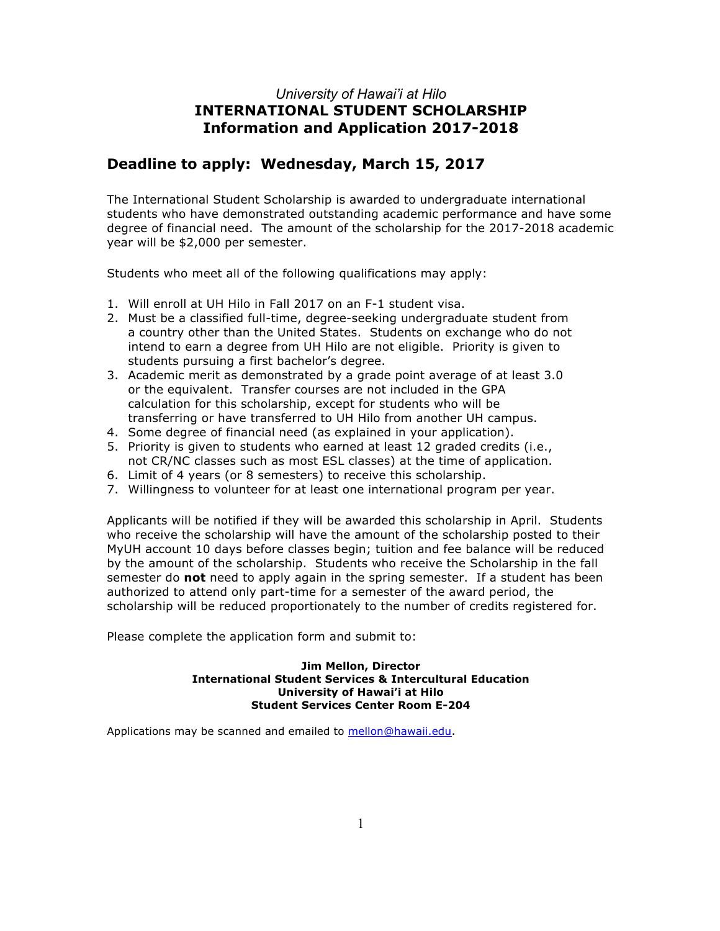### *University of Hawai'i at Hilo* **INTERNATIONAL STUDENT SCHOLARSHIP Information and Application 2017-2018**

### **Deadline to apply: Wednesday, March 15, 2017**

The International Student Scholarship is awarded to undergraduate international students who have demonstrated outstanding academic performance and have some degree of financial need. The amount of the scholarship for the 2017-2018 academic year will be \$2,000 per semester.

Students who meet all of the following qualifications may apply:

- 1. Will enroll at UH Hilo in Fall 2017 on an F-1 student visa.
- 2. Must be a classified full-time, degree-seeking undergraduate student from a country other than the United States. Students on exchange who do not intend to earn a degree from UH Hilo are not eligible. Priority is given to students pursuing a first bachelor's degree.
- 3. Academic merit as demonstrated by a grade point average of at least 3.0 or the equivalent. Transfer courses are not included in the GPA calculation for this scholarship, except for students who will be transferring or have transferred to UH Hilo from another UH campus.
- 4. Some degree of financial need (as explained in your application).
- 5. Priority is given to students who earned at least 12 graded credits (i.e., not CR/NC classes such as most ESL classes) at the time of application.
- 6. Limit of 4 years (or 8 semesters) to receive this scholarship.
- 7. Willingness to volunteer for at least one international program per year.

Applicants will be notified if they will be awarded this scholarship in April. Students who receive the scholarship will have the amount of the scholarship posted to their MyUH account 10 days before classes begin; tuition and fee balance will be reduced by the amount of the scholarship. Students who receive the Scholarship in the fall semester do **not** need to apply again in the spring semester. If a student has been authorized to attend only part-time for a semester of the award period, the scholarship will be reduced proportionately to the number of credits registered for.

Please complete the application form and submit to:

#### **Jim Mellon, Director International Student Services & Intercultural Education University of Hawai'i at Hilo Student Services Center Room E-204**

Applications may be scanned and emailed to mellon@hawaii.edu.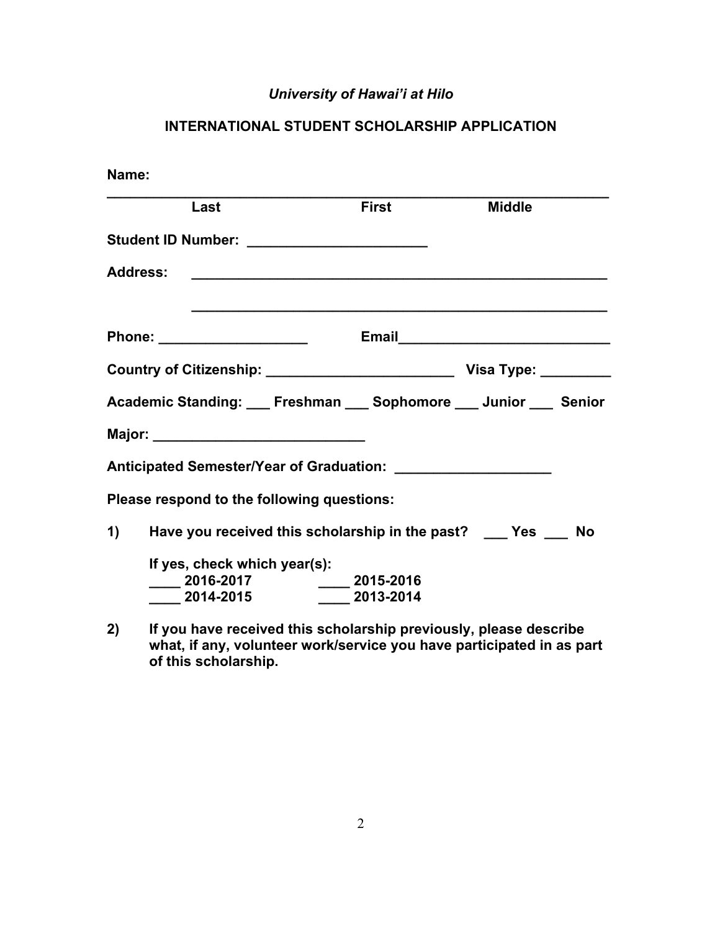# *University of Hawai'i at Hilo*

# **INTERNATIONAL STUDENT SCHOLARSHIP APPLICATION**

| Name: |                                                                                                           |                                                                   |                                                              |
|-------|-----------------------------------------------------------------------------------------------------------|-------------------------------------------------------------------|--------------------------------------------------------------|
|       | Last                                                                                                      | <b>First</b>                                                      | <b>Middle</b>                                                |
|       |                                                                                                           |                                                                   |                                                              |
|       | <b>Address:</b>                                                                                           | <u> 2002 - Johann Amerikaanse kommunister (</u>                   |                                                              |
|       | Phone: ______________________                                                                             |                                                                   |                                                              |
|       |                                                                                                           |                                                                   |                                                              |
|       |                                                                                                           |                                                                   | Academic Standing: Freshman __ Sophomore __ Junior __ Senior |
|       |                                                                                                           |                                                                   |                                                              |
|       |                                                                                                           |                                                                   |                                                              |
|       | Please respond to the following questions:                                                                |                                                                   |                                                              |
|       |                                                                                                           | 1) Have you received this scholarship in the past? ___ Yes ___ No |                                                              |
|       | If yes, check which year(s):<br>_____ 2016-2017      ____ 2015-2016<br>_____ 2014-2015     ____ 2013-2014 |                                                                   |                                                              |
|       |                                                                                                           | .                                                                 |                                                              |

**2) If you have received this scholarship previously, please describe what, if any, volunteer work/service you have participated in as part of this scholarship.**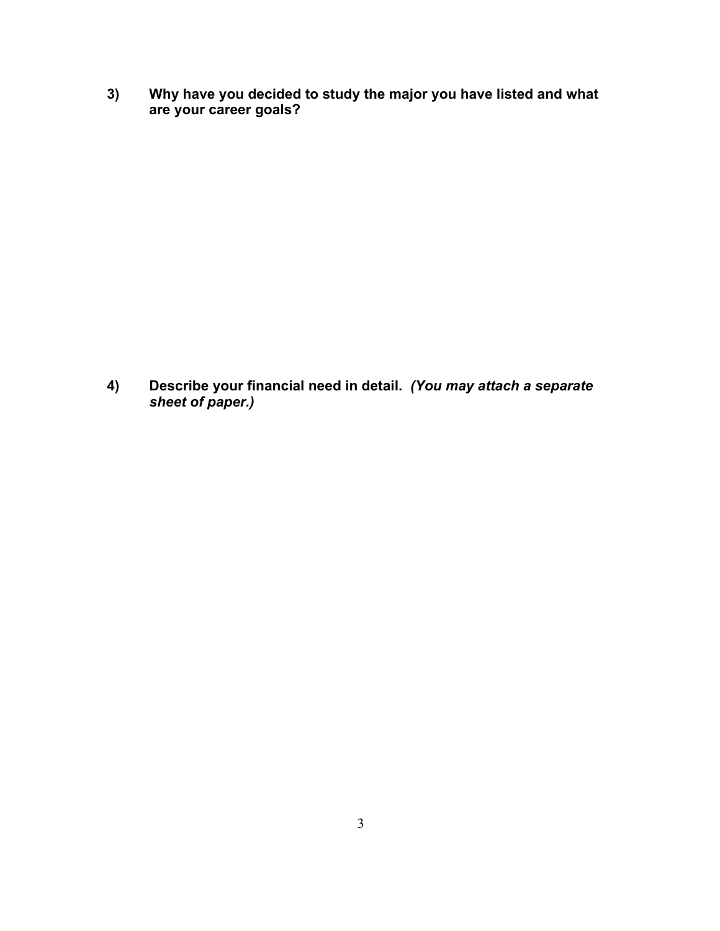**3) Why have you decided to study the major you have listed and what are your career goals?** 

**4) Describe your financial need in detail.** *(You may attach a separate sheet of paper.)*